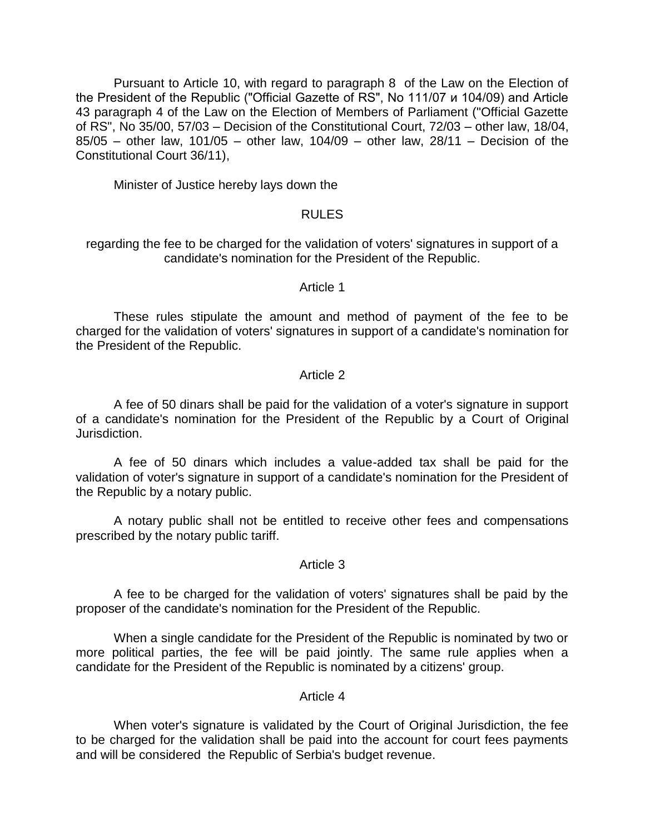Pursuant to Article 10, with regard to paragraph 8 of the Law on the Election of the President of the Republic ("Official Gazette of RS", No 111/07 и 104/09) and Article 43 paragraph 4 of the Law on the Election of Members of Parliament ("Official Gazette of RS", No 35/00, 57/03 – Decision of the Constitutional Court, 72/03 – other law, 18/04, 85/05 – other law, 101/05 – other law, 104/09 – other law, 28/11 – Decision of the Constitutional Court 36/11),

Minister of Justice hereby lays down the

# RULES

regarding the fee to be charged for the validation of voters' signatures in support of a candidate's nomination for the President of the Republic.

#### Article 1

These rules stipulate the amount and method of payment of the fee to be charged for the validation of voters' signatures in support of a candidate's nomination for the President of the Republic.

### Article 2

A fee of 50 dinars shall be paid for the validation of a voter's signature in support of a candidate's nomination for the President of the Republic by a Court of Original Jurisdiction.

A fee of 50 dinars which includes a value-added tax shall be paid for the validation of voter's signature in support of a candidate's nomination for the President of the Republic by a notary public.

A notary public shall not be entitled to receive other fees and compensations prescribed by the notary public tariff.

### Article 3

A fee to be charged for the validation of voters' signatures shall be paid by the proposer of the candidate's nomination for the President of the Republic.

When a single candidate for the President of the Republic is nominated by two or more political parties, the fee will be paid jointly. The same rule applies when a candidate for the President of the Republic is nominated by a citizens' group.

# Article 4

When voter's signature is validated by the Court of Original Jurisdiction, the fee to be charged for the validation shall be paid into the account for court fees payments and will be considered the Republic of Serbia's budget revenue.